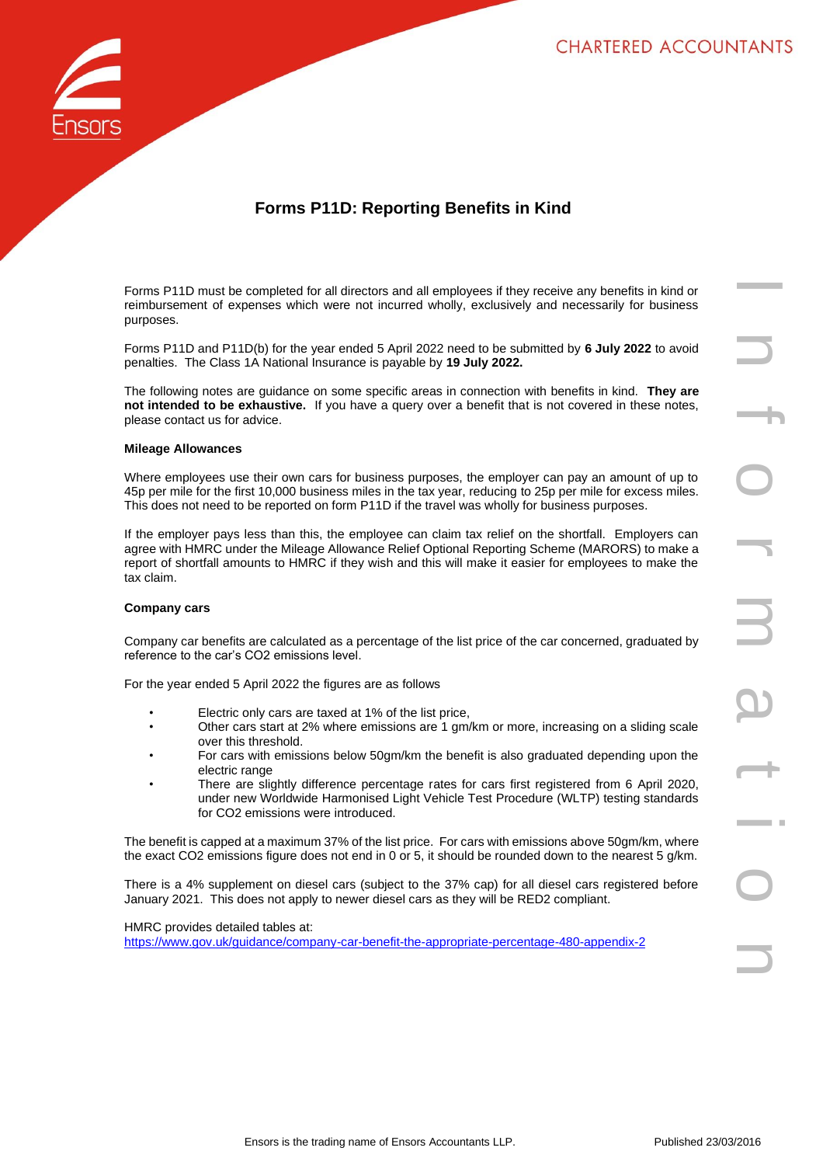

# **Forms P11D: Reporting Benefits in Kind**

Forms P11D must be completed for all directors and all employees if they receive any benefits in kind or reimbursement of expenses which were not incurred wholly, exclusively and necessarily for business purposes.

Forms P11D and P11D(b) for the year ended 5 April 2022 need to be submitted by **6 July 2022** to avoid penalties. The Class 1A National Insurance is payable by **19 July 2022.**

The following notes are guidance on some specific areas in connection with benefits in kind. **They are not intended to be exhaustive.** If you have a query over a benefit that is not covered in these notes, please contact us for advice.

## **Mileage Allowances**

Where employees use their own cars for business purposes, the employer can pay an amount of up to 45p per mile for the first 10,000 business miles in the tax year, reducing to 25p per mile for excess miles. This does not need to be reported on form P11D if the travel was wholly for business purposes.

If the employer pays less than this, the employee can claim tax relief on the shortfall. Employers can agree with HMRC under the Mileage Allowance Relief Optional Reporting Scheme (MARORS) to make a report of shortfall amounts to HMRC if they wish and this will make it easier for employees to make the tax claim.

#### **Company cars**

Company car benefits are calculated as a percentage of the list price of the car concerned, graduated by reference to the car's CO2 emissions level.

For the year ended 5 April 2022 the figures are as follows

- Electric only cars are taxed at 1% of the list price,
- Other cars start at 2% where emissions are 1 gm/km or more, increasing on a sliding scale over this threshold.
- For cars with emissions below 50gm/km the benefit is also graduated depending upon the electric range
- There are slightly difference percentage rates for cars first registered from 6 April 2020, under new Worldwide Harmonised Light Vehicle Test Procedure (WLTP) testing standards for CO2 emissions were introduced.

The benefit is capped at a maximum 37% of the list price. For cars with emissions above 50gm/km, where the exact CO2 emissions figure does not end in 0 or 5, it should be rounded down to the nearest 5 g/km.

There is a 4% supplement on diesel cars (subject to the 37% cap) for all diesel cars registered before January 2021. This does not apply to newer diesel cars as they will be RED2 compliant.

HMRC provides detailed tables at: <https://www.gov.uk/guidance/company-car-benefit-the-appropriate-percentage-480-appendix-2>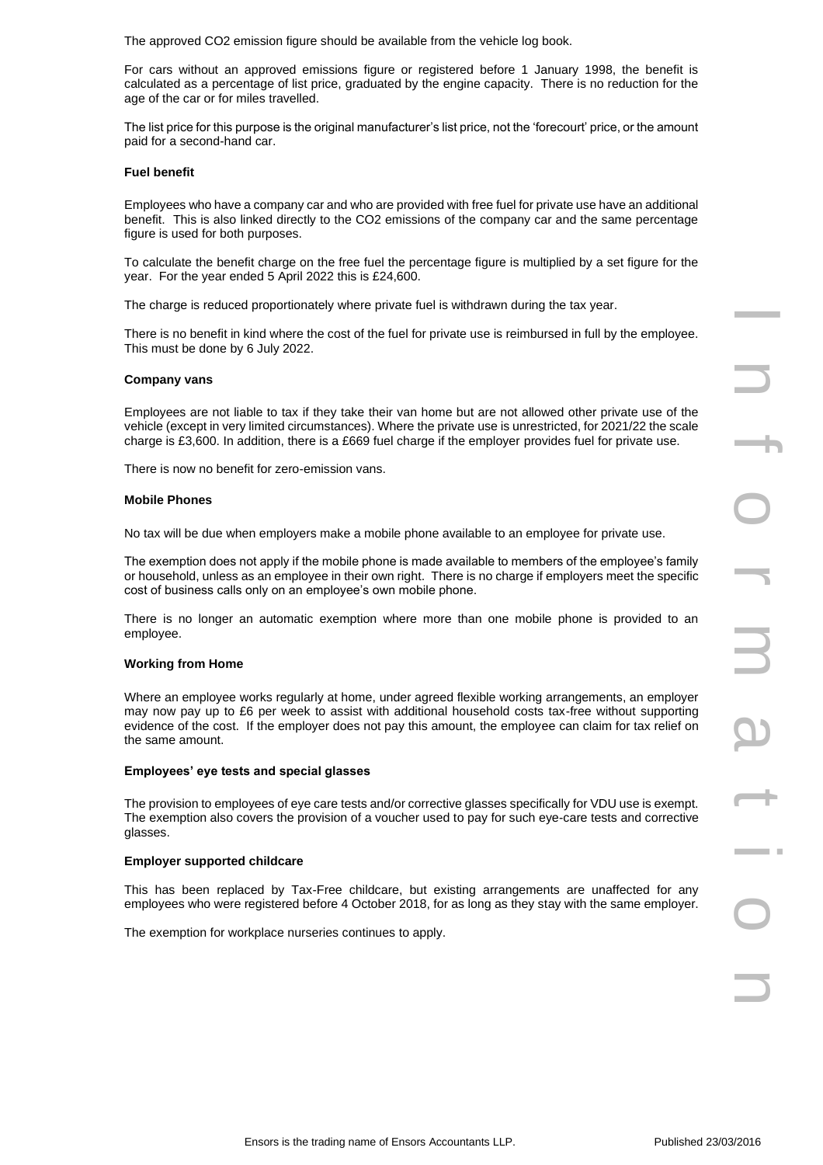The approved CO2 emission figure should be available from the vehicle log book.

For cars without an approved emissions figure or registered before 1 January 1998, the benefit is calculated as a percentage of list price, graduated by the engine capacity. There is no reduction for the age of the car or for miles travelled.

The list price for this purpose is the original manufacturer's list price, not the 'forecourt' price, or the amount paid for a second-hand car.

## **Fuel benefit**

Employees who have a company car and who are provided with free fuel for private use have an additional benefit. This is also linked directly to the CO2 emissions of the company car and the same percentage figure is used for both purposes.

To calculate the benefit charge on the free fuel the percentage figure is multiplied by a set figure for the year. For the year ended 5 April 2022 this is £24,600.

The charge is reduced proportionately where private fuel is withdrawn during the tax year.

There is no benefit in kind where the cost of the fuel for private use is reimbursed in full by the employee. This must be done by 6 July 2022.

## **Company vans**

Employees are not liable to tax if they take their van home but are not allowed other private use of the vehicle (except in very limited circumstances). Where the private use is unrestricted, for 2021/22 the scale charge is £3,600. In addition, there is a £669 fuel charge if the employer provides fuel for private use.

There is now no benefit for zero-emission vans.

## **Mobile Phones**

No tax will be due when employers make a mobile phone available to an employee for private use.

The exemption does not apply if the mobile phone is made available to members of the employee's family or household, unless as an employee in their own right. There is no charge if employers meet the specific cost of business calls only on an employee's own mobile phone.

There is no longer an automatic exemption where more than one mobile phone is provided to an employee.

#### **Working from Home**

Where an employee works regularly at home, under agreed flexible working arrangements, an employer may now pay up to £6 per week to assist with additional household costs tax-free without supporting evidence of the cost. If the employer does not pay this amount, the employee can claim for tax relief on the same amount.

#### **Employees' eye tests and special glasses**

The provision to employees of eye care tests and/or corrective glasses specifically for VDU use is exempt. The exemption also covers the provision of a voucher used to pay for such eye-care tests and corrective glasses.

#### **Employer supported childcare**

This has been replaced by Tax-Free childcare, but existing arrangements are unaffected for any employees who were registered before 4 October 2018, for as long as they stay with the same employer.

The exemption for workplace nurseries continues to apply.